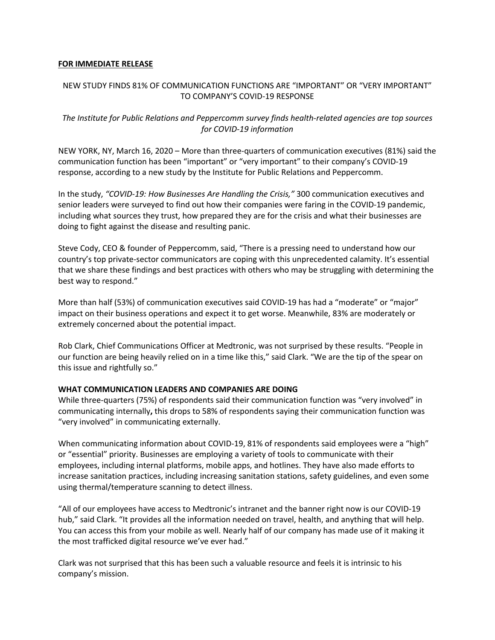#### **FOR IMMEDIATE RELEASE**

## NEW STUDY FINDS 81% OF COMMUNICATION FUNCTIONS ARE "IMPORTANT" OR "VERY IMPORTANT" TO COMPANY'S COVID-19 RESPONSE

# *The Institute for Public Relations and Peppercomm survey finds health-related agencies are top sources for COVID-19 information*

NEW YORK, NY, March 16, 2020 – More than three-quarters of communication executives (81%) said the communication function has been "important" or "very important" to their company's COVID-19 response, according to a new study by the Institute for Public Relations and Peppercomm.

In the study, *"COVID-19: How Businesses Are Handling the Crisis,"* 300 communication executives and senior leaders were surveyed to find out how their companies were faring in the COVID-19 pandemic, including what sources they trust, how prepared they are for the crisis and what their businesses are doing to fight against the disease and resulting panic.

Steve Cody, CEO & founder of Peppercomm, said, "There is a pressing need to understand how our country's top private-sector communicators are coping with this unprecedented calamity. It's essential that we share these findings and best practices with others who may be struggling with determining the best way to respond."

More than half (53%) of communication executives said COVID-19 has had a "moderate" or "major" impact on their business operations and expect it to get worse. Meanwhile, 83% are moderately or extremely concerned about the potential impact.

Rob Clark, Chief Communications Officer at Medtronic, was not surprised by these results. "People in our function are being heavily relied on in a time like this," said Clark. "We are the tip of the spear on this issue and rightfully so."

## **WHAT COMMUNICATION LEADERS AND COMPANIES ARE DOING**

While three-quarters (75%) of respondents said their communication function was "very involved" in communicating internally**,** this drops to 58% of respondents saying their communication function was "very involved" in communicating externally.

When communicating information about COVID-19, 81% of respondents said employees were a "high" or "essential" priority. Businesses are employing a variety of tools to communicate with their employees, including internal platforms, mobile apps, and hotlines. They have also made efforts to increase sanitation practices, including increasing sanitation stations, safety guidelines, and even some using thermal/temperature scanning to detect illness.

"All of our employees have access to Medtronic's intranet and the banner right now is our COVID-19 hub," said Clark. "It provides all the information needed on travel, health, and anything that will help. You can access this from your mobile as well. Nearly half of our company has made use of it making it the most trafficked digital resource we've ever had."

Clark was not surprised that this has been such a valuable resource and feels it is intrinsic to his company's mission.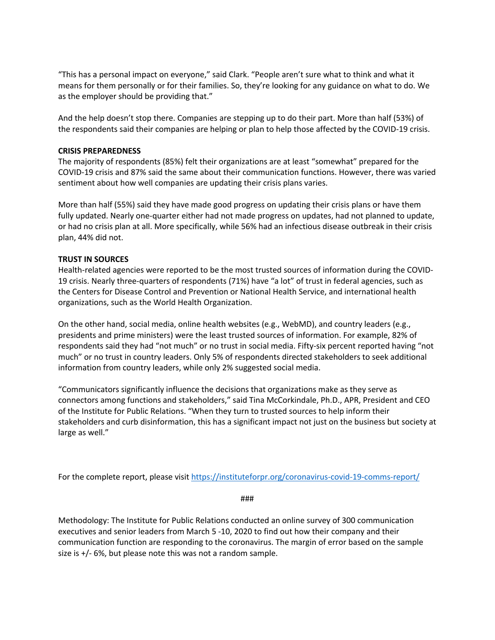"This has a personal impact on everyone," said Clark. "People aren't sure what to think and what it means for them personally or for their families. So, they're looking for any guidance on what to do. We as the employer should be providing that."

And the help doesn't stop there. Companies are stepping up to do their part. More than half (53%) of the respondents said their companies are helping or plan to help those affected by the COVID-19 crisis.

#### **CRISIS PREPAREDNESS**

The majority of respondents (85%) felt their organizations are at least "somewhat" prepared for the COVID-19 crisis and 87% said the same about their communication functions. However, there was varied sentiment about how well companies are updating their crisis plans varies.

More than half (55%) said they have made good progress on updating their crisis plans or have them fully updated. Nearly one-quarter either had not made progress on updates, had not planned to update, or had no crisis plan at all. More specifically, while 56% had an infectious disease outbreak in their crisis plan, 44% did not.

#### **TRUST IN SOURCES**

Health-related agencies were reported to be the most trusted sources of information during the COVID-19 crisis. Nearly three-quarters of respondents (71%) have "a lot" of trust in federal agencies, such as the Centers for Disease Control and Prevention or National Health Service, and international health organizations, such as the World Health Organization.

On the other hand, social media, online health websites (e.g., WebMD), and country leaders (e.g., presidents and prime ministers) were the least trusted sources of information. For example, 82% of respondents said they had "not much" or no trust in social media. Fifty-six percent reported having "not much" or no trust in country leaders. Only 5% of respondents directed stakeholders to seek additional information from country leaders, while only 2% suggested social media.

"Communicators significantly influence the decisions that organizations make as they serve as connectors among functions and stakeholders," said Tina McCorkindale, Ph.D., APR, President and CEO of the Institute for Public Relations. "When they turn to trusted sources to help inform their stakeholders and curb disinformation, this has a significant impact not just on the business but society at large as well."

For the complete report, please visit https://instituteforpr.org/coronavirus-covid-19-comms-report/

###

Methodology: The Institute for Public Relations conducted an online survey of 300 communication executives and senior leaders from March 5 -10, 2020 to find out how their company and their communication function are responding to the coronavirus. The margin of error based on the sample size is +/- 6%, but please note this was not a random sample.